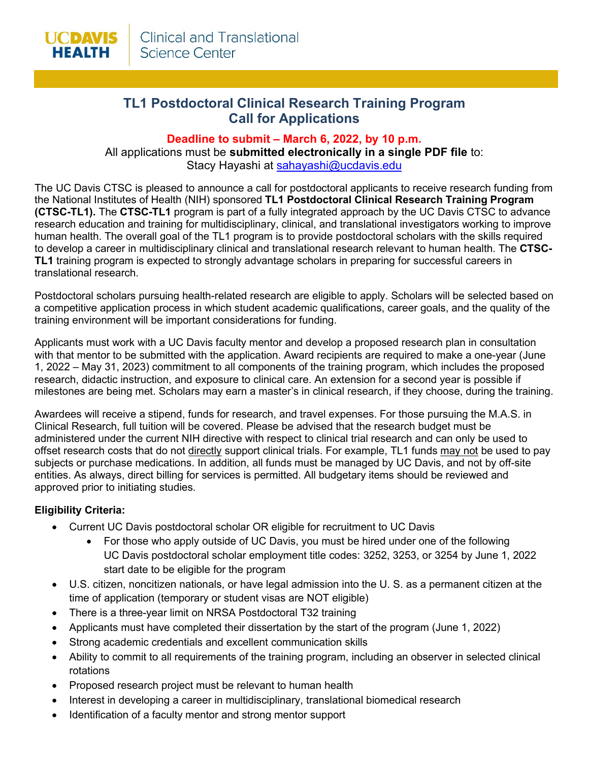# **TL1 Postdoctoral Clinical Research Training Program Call for Applications**

## **Deadline to submit – March 6, 2022, by 10 p.m.**

All applications must be **submitted electronically in a single PDF file** to: Stacy Hayashi at [sahayashi@ucdavis.edu](mailto:sahayashi@ucdavis.edu)

The UC Davis CTSC is pleased to announce a call for postdoctoral applicants to receive research funding from the National Institutes of Health (NIH) sponsored **TL1 Postdoctoral Clinical Research Training Program (CTSC-TL1).** The **CTSC-TL1** program is part of a fully integrated approach by the UC Davis CTSC to advance research education and training for multidisciplinary, clinical, and translational investigators working to improve human health. The overall goal of the TL1 program is to provide postdoctoral scholars with the skills required to develop a career in multidisciplinary clinical and translational research relevant to human health. The **CTSC-TL1** training program is expected to strongly advantage scholars in preparing for successful careers in translational research.

Postdoctoral scholars pursuing health-related research are eligible to apply. Scholars will be selected based on a competitive application process in which student academic qualifications, career goals, and the quality of the training environment will be important considerations for funding.

Applicants must work with a UC Davis faculty mentor and develop a proposed research plan in consultation with that mentor to be submitted with the application. Award recipients are required to make a one-year (June 1, 2022 – May 31, 2023) commitment to all components of the training program, which includes the proposed research, didactic instruction, and exposure to clinical care. An extension for a second year is possible if milestones are being met. Scholars may earn a master's in clinical research, if they choose, during the training.

Awardees will receive a stipend, funds for research, and travel expenses. For those pursuing the M.A.S. in Clinical Research, full tuition will be covered. Please be advised that the research budget must be administered under the current NIH directive with respect to clinical trial research and can only be used to offset research costs that do not directly support clinical trials. For example, TL1 funds may not be used to pay subjects or purchase medications. In addition, all funds must be managed by UC Davis, and not by off-site entities. As always, direct billing for services is permitted. All budgetary items should be reviewed and approved prior to initiating studies.

### **Eligibility Criteria:**

- Current UC Davis postdoctoral scholar OR eligible for recruitment to UC Davis
	- For those who apply outside of UC Davis, you must be hired under one of the following UC Davis postdoctoral scholar employment title codes: 3252, 3253, or 3254 by June 1, 2022 start date to be eligible for the program
- U.S. citizen, noncitizen nationals, or have legal admission into the U. S. as a permanent citizen at the time of application (temporary or student visas are NOT eligible)
- There is a three-year limit on NRSA Postdoctoral T32 training
- Applicants must have completed their dissertation by the start of the program (June 1, 2022)
- Strong academic credentials and excellent communication skills
- Ability to commit to all requirements of the training program, including an observer in selected clinical rotations
- Proposed research project must be relevant to human health
- Interest in developing a career in multidisciplinary, translational biomedical research
- Identification of a faculty mentor and strong mentor support